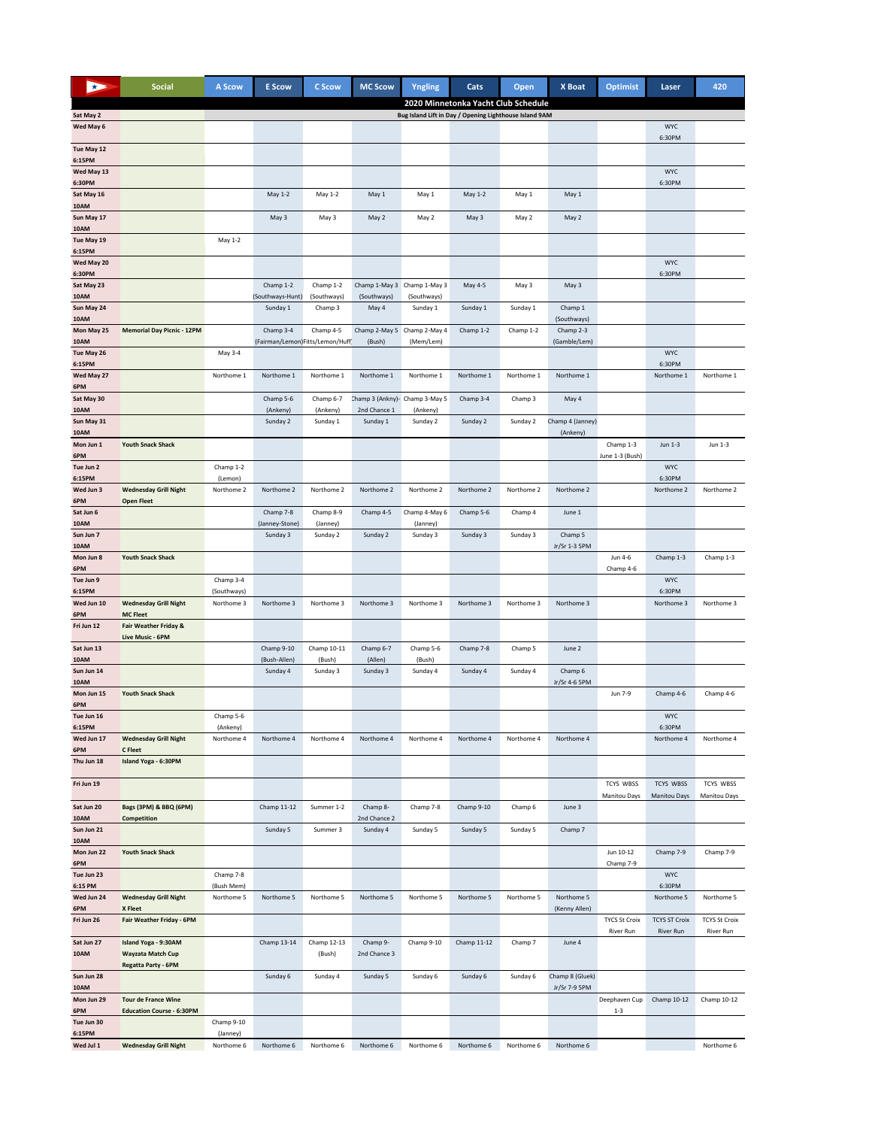|                        | <b>Social</b>                                        | A Scow                | <b>E</b> Scow                                | C Scow                | <b>MC Scow</b>                                 | Yngling                                                | Cats                                | Open       | X Boat                       | <b>Optimist</b>                   | Laser                            | 420                       |
|------------------------|------------------------------------------------------|-----------------------|----------------------------------------------|-----------------------|------------------------------------------------|--------------------------------------------------------|-------------------------------------|------------|------------------------------|-----------------------------------|----------------------------------|---------------------------|
|                        |                                                      |                       |                                              |                       |                                                |                                                        | 2020 Minnetonka Yacht Club Schedule |            |                              |                                   |                                  |                           |
| Sat May 2<br>Wed May 6 |                                                      |                       |                                              |                       |                                                | Bug Island Lift in Day / Opening Lighthouse Island 9AM |                                     |            |                              |                                   | <b>WYC</b>                       |                           |
|                        |                                                      |                       |                                              |                       |                                                |                                                        |                                     |            |                              |                                   | 6:30PM                           |                           |
| Tue May 12<br>6:15PM   |                                                      |                       |                                              |                       |                                                |                                                        |                                     |            |                              |                                   |                                  |                           |
| Wed May 13             |                                                      |                       |                                              |                       |                                                |                                                        |                                     |            |                              |                                   | <b>WYC</b>                       |                           |
| 6:30PM<br>Sat May 16   |                                                      |                       | May 1-2                                      | May 1-2               | May 1                                          | May 1                                                  | May 1-2                             | May 1      | May 1                        |                                   | 6:30PM                           |                           |
| 10AM                   |                                                      |                       |                                              |                       |                                                |                                                        |                                     |            |                              |                                   |                                  |                           |
| Sun May 17<br>10AM     |                                                      |                       | May 3                                        | May 3                 | May 2                                          | May 2                                                  | May 3                               | May 2      | May 2                        |                                   |                                  |                           |
| Tue May 19<br>6:15PM   |                                                      | May 1-2               |                                              |                       |                                                |                                                        |                                     |            |                              |                                   |                                  |                           |
| Wed May 20             |                                                      |                       |                                              |                       |                                                |                                                        |                                     |            |                              |                                   | <b>WYC</b>                       |                           |
| 6:30PM<br>Sat May 23   |                                                      |                       | Champ 1-2                                    | Champ 1-2             | Champ 1-May 3 Champ 1-May 3                    |                                                        | May 4-5                             | May 3      | May 3                        |                                   | 6:30PM                           |                           |
| 10AM                   |                                                      |                       | (Southways-Hunt)                             | (Southways)           | (Southways)                                    | (Southways)                                            |                                     |            |                              |                                   |                                  |                           |
| Sun May 24<br>10AM     |                                                      |                       | Sunday 1                                     | Champ 3               | May 4                                          | Sunday 1                                               | Sunday 1                            | Sunday 1   | Champ 1<br>(Southways)       |                                   |                                  |                           |
| Mon May 25<br>10AM     | <b>Memorial Day Picnic - 12PM</b>                    |                       | Champ 3-4<br>(Fairman/Lemon)Fitts/Lemon/Huff | Champ 4-5             | Champ 2-May 5 Champ 2-May 4<br>(Bush)          | (Mem/Lem)                                              | Champ 1-2                           | Champ 1-2  | Champ 2-3<br>(Gamble/Lem)    |                                   |                                  |                           |
| Tue May 26             |                                                      | May 3-4               |                                              |                       |                                                |                                                        |                                     |            |                              |                                   | <b>WYC</b>                       |                           |
| 6:15PM<br>Wed May 27   |                                                      | Northome 1            | Northome 1                                   | Northome 1            | Northome 1                                     | Northome 1                                             | Northome 1                          | Northome 1 | Northome 1                   |                                   | 6:30PM<br>Northome 1             | Northome 1                |
| 6PM                    |                                                      |                       |                                              |                       |                                                |                                                        |                                     |            |                              |                                   |                                  |                           |
| Sat May 30<br>10AM     |                                                      |                       | Champ 5-6<br>(Ankeny)                        | Champ 6-7<br>(Ankeny) | Champ 3 (Ankny)- Champ 3-May 5<br>2nd Chance 1 | (Ankeny)                                               | Champ 3-4                           | Champ 3    | May 4                        |                                   |                                  |                           |
| Sun May 31<br>10AM     |                                                      |                       | Sunday 2                                     | Sunday 1              | Sunday 1                                       | Sunday 2                                               | Sunday 2                            | Sunday 2   | Champ 4 (Janney)<br>(Ankeny) |                                   |                                  |                           |
| Mon Jun 1              | <b>Youth Snack Shack</b>                             |                       |                                              |                       |                                                |                                                        |                                     |            |                              | Champ 1-3                         | Jun 1-3                          | Jun 1-3                   |
| 6PM<br>Tue Jun 2       |                                                      | Champ 1-2             |                                              |                       |                                                |                                                        |                                     |            |                              | June 1-3 (Bush)                   | <b>WYC</b>                       |                           |
| 6:15PM                 |                                                      | (Lemon)               |                                              | Northome 2            |                                                |                                                        |                                     |            |                              |                                   | 6:30PM                           | Northome 2                |
| Wed Jun 3<br>6PM       | <b>Wednesday Grill Night</b><br><b>Open Fleet</b>    | Northome 2            | Northome 2                                   |                       | Northome 2                                     | Northome 2                                             | Northome 2                          | Northome 2 | Northome 2                   |                                   | Northome 2                       |                           |
| Sat Jun 6<br>10AM      |                                                      |                       | Champ 7-8<br>(Janney-Stone)                  | Champ 8-9<br>(Janney) | Champ 4-5                                      | Champ 4-May 6<br>(Janney)                              | Champ 5-6                           | Champ 4    | June 1                       |                                   |                                  |                           |
| Sun Jun 7              |                                                      |                       | Sunday 3                                     | Sunday 2              | Sunday 2                                       | Sunday 3                                               | Sunday 3                            | Sunday 3   | Champ 5                      |                                   |                                  |                           |
| 10AM<br>Mon Jun 8      | <b>Youth Snack Shack</b>                             |                       |                                              |                       |                                                |                                                        |                                     |            | Jr/Sr 1-3 5PM                | Jun 4-6                           | Champ 1-3                        | Champ 1-3                 |
| 6PM<br>Tue Jun 9       |                                                      | Champ 3-4             |                                              |                       |                                                |                                                        |                                     |            |                              | Champ 4-6                         | <b>WYC</b>                       |                           |
| 6:15PM                 |                                                      | (Southways)           |                                              |                       |                                                |                                                        |                                     |            |                              |                                   | 6:30PM                           |                           |
| Wed Jun 10<br>6PM      | <b>Wednesday Grill Night</b><br><b>MC Fleet</b>      | Northome 3            | Northome 3                                   | Northome 3            | Northome 3                                     | Northome 3                                             | Northome 3                          | Northome 3 | Northome 3                   |                                   | Northome 3                       | Northome 3                |
| Fri Jun 12             | <b>Fair Weather Friday &amp;</b><br>Live Music - 6PM |                       |                                              |                       |                                                |                                                        |                                     |            |                              |                                   |                                  |                           |
| Sat Jun 13             |                                                      |                       | Champ 9-10                                   | Champ 10-11           | Champ 6-7                                      | Champ 5-6                                              | Champ 7-8                           | Champ 5    | June 2                       |                                   |                                  |                           |
| 10AM<br>Sun Jun 14     |                                                      |                       | (Bush-Allen)<br>Sunday 4                     | (Bush)<br>Sunday 3    | (Allen)<br>Sunday 3                            | (Bush)<br>Sunday 4                                     | Sunday 4                            | Sunday 4   | Champ 6                      |                                   |                                  |                           |
| 10AM                   |                                                      |                       |                                              |                       |                                                |                                                        |                                     |            | Jr/Sr 4-6 5PM                |                                   |                                  |                           |
| Mon Jun 15<br>6PM      | <b>Youth Snack Shack</b>                             |                       |                                              |                       |                                                |                                                        |                                     |            |                              | Jun 7-9                           | Champ 4-6                        | Champ 4-6                 |
| Tue Jun 16<br>6:15PM   |                                                      | Champ 5-6<br>(Ankeny) |                                              |                       |                                                |                                                        |                                     |            |                              |                                   | <b>WYC</b><br>6:30PM             |                           |
| Wed Jun 17             | <b>Wednesday Grill Night</b>                         | Northome 4            | Northome 4                                   | Northome 4            | Northome 4                                     | Northome 4                                             | Northome 4                          | Northome 4 | Northome 4                   |                                   | Northome 4                       | Northome 4                |
| 6PM<br>Thu Jun 18      | C Fleet<br>Island Yoga - 6:30PM                      |                       |                                              |                       |                                                |                                                        |                                     |            |                              |                                   |                                  |                           |
|                        |                                                      |                       |                                              |                       |                                                |                                                        |                                     |            |                              |                                   |                                  |                           |
| Fri Jun 19             |                                                      |                       |                                              |                       |                                                |                                                        |                                     |            |                              | TCYS WBSS<br>Manitou Days         | <b>TCYS WBSS</b><br>Manitou Days | TCYS WBSS<br>Manitou Days |
| Sat Jun 20<br>10AM     | Bags (3PM) & BBQ (6PM)<br>Competition                |                       | Champ 11-12                                  | Summer 1-2            | Champ 8-<br>2nd Chance 2                       | Champ 7-8                                              | Champ 9-10                          | Champ 6    | June 3                       |                                   |                                  |                           |
| Sun Jun 21             |                                                      |                       | Sunday 5                                     | Summer 3              | Sunday 4                                       | Sunday 5                                               | Sunday 5                            | Sunday 5   | Champ 7                      |                                   |                                  |                           |
| 10AM<br>Mon Jun 22     | <b>Youth Snack Shack</b>                             |                       |                                              |                       |                                                |                                                        |                                     |            |                              | Jun 10-12                         | Champ 7-9                        | Champ 7-9                 |
| 6PM<br>Tue Jun 23      |                                                      | Champ 7-8             |                                              |                       |                                                |                                                        |                                     |            |                              | Champ 7-9                         | <b>WYC</b>                       |                           |
| 6:15 PM                |                                                      | (Bush Mem)            |                                              |                       |                                                |                                                        |                                     |            |                              |                                   | 6:30PM                           |                           |
| Wed Jun 24<br>6PM      | <b>Wednesday Grill Night</b><br>X Fleet              | Northome 5            | Northome 5                                   | Northome 5            | Northome 5                                     | Northome 5                                             | Northome 5                          | Northome 5 | Northome 5<br>(Kenny Allen)  |                                   | Northome 5                       | Northome 5                |
| Fri Jun 26             | Fair Weather Friday - 6PM                            |                       |                                              |                       |                                                |                                                        |                                     |            |                              | <b>TYCS St Croix</b><br>River Run | <b>TCYS ST Croix</b>             | <b>TCYS St Croix</b>      |
| Sat Jun 27             | Island Yoga - 9:30AM                                 |                       | Champ 13-14                                  | Champ 12-13           | Champ 9-                                       | Champ 9-10                                             | Champ 11-12                         | Champ 7    | June 4                       |                                   | <b>River Run</b>                 | River Run                 |
| 10AM                   | Wayzata Match Cup<br>Regatta Party - 6PM             |                       |                                              | (Bush)                | 2nd Chance 3                                   |                                                        |                                     |            |                              |                                   |                                  |                           |
| Sun Jun 28             |                                                      |                       | Sunday 6                                     | Sunday 4              | Sunday 5                                       | Sunday 6                                               | Sunday 6                            | Sunday 6   | Champ 8 (Gluek)              |                                   |                                  |                           |
| 10AM<br>Mon Jun 29     | <b>Tour de France Wine</b>                           |                       |                                              |                       |                                                |                                                        |                                     |            | Jr/Sr 7-9 5PM                | Deephaven Cup                     | Champ 10-12                      | Champ 10-12               |
| 6PM<br>Tue Jun 30      | <b>Education Course - 6:30PM</b>                     | Champ 9-10            |                                              |                       |                                                |                                                        |                                     |            |                              | $1 - 3$                           |                                  |                           |
| 6:15PM                 |                                                      | (Janney)              |                                              |                       |                                                |                                                        |                                     |            |                              |                                   |                                  |                           |
| Wed Jul 1              | <b>Wednesday Grill Night</b>                         | Northome 6            | Northome 6                                   | Northome 6            | Northome 6                                     | Northome 6                                             | Northome 6                          | Northome 6 | Northome 6                   |                                   |                                  | Northome 6                |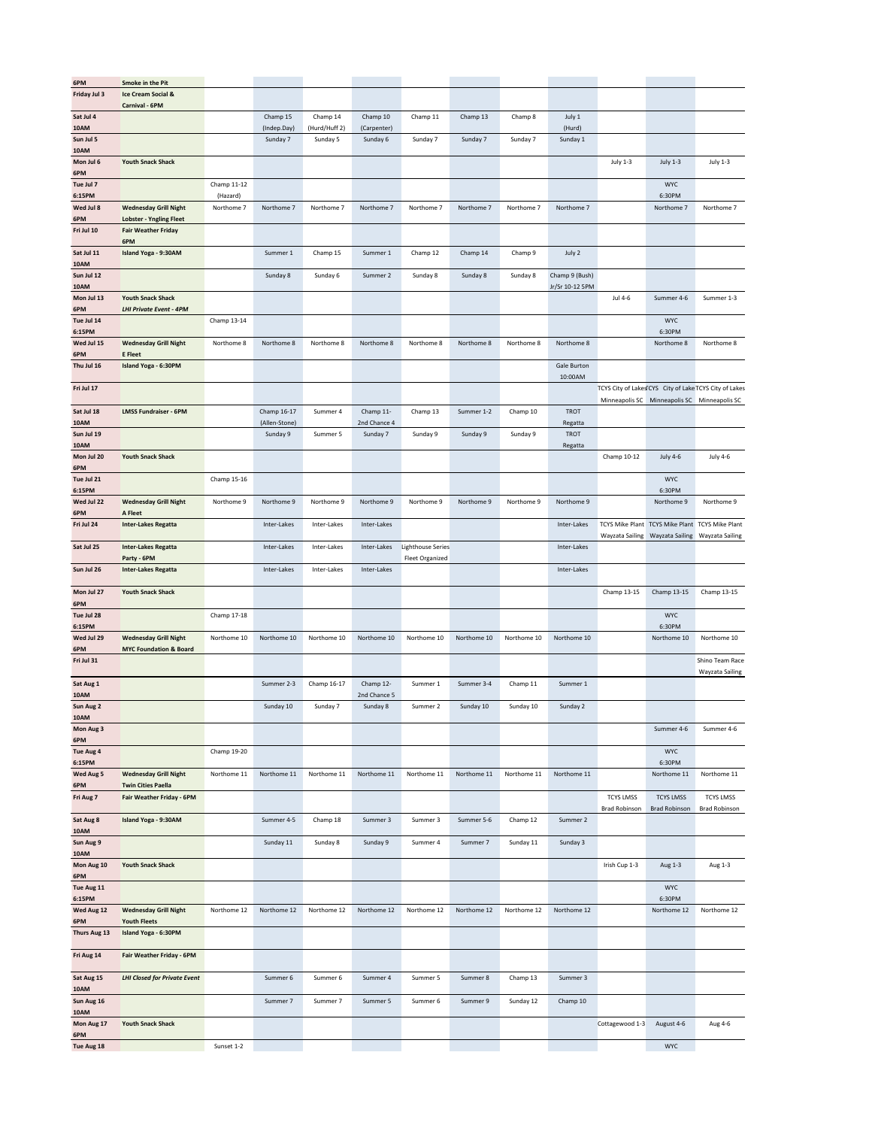| 6PM                  | Smoke in the Pit                                       |                        |               |               |              |                          |             |             |                        |                  |                      |                                                                    |
|----------------------|--------------------------------------------------------|------------------------|---------------|---------------|--------------|--------------------------|-------------|-------------|------------------------|------------------|----------------------|--------------------------------------------------------------------|
| Friday Jul 3         | <b>Ice Cream Social &amp;</b>                          |                        |               |               |              |                          |             |             |                        |                  |                      |                                                                    |
| Sat Jul 4            | Carnival - 6PM                                         |                        | Champ 15      | Champ 14      | Champ 10     | Champ 11                 | Champ 13    | Champ 8     | July 1                 |                  |                      |                                                                    |
| 10AM                 |                                                        |                        | (Indep.Day)   | (Hurd/Huff 2) | (Carpenter)  |                          |             |             | (Hurd)                 |                  |                      |                                                                    |
| Sun Jul 5            |                                                        |                        | Sunday 7      | Sunday 5      | Sunday 6     | Sunday 7                 | Sunday 7    | Sunday 7    | Sunday 1               |                  |                      |                                                                    |
| 10AM<br>Mon Jul 6    | <b>Youth Snack Shack</b>                               |                        |               |               |              |                          |             |             |                        | July 1-3         | <b>July 1-3</b>      | July 1-3                                                           |
| 6PM                  |                                                        |                        |               |               |              |                          |             |             |                        |                  |                      |                                                                    |
| Tue Jul 7            |                                                        | Champ 11-12            |               |               |              |                          |             |             |                        |                  | <b>WYC</b>           |                                                                    |
| 6:15PM<br>Wed Jul 8  | <b>Wednesday Grill Night</b>                           | (Hazard)<br>Northome 7 | Northome 7    | Northome 7    | Northome 7   | Northome 7               | Northome 7  | Northome 7  | Northome 7             |                  | 6:30PM<br>Northome 7 | Northome 7                                                         |
| 6PM                  | <b>Lobster - Yngling Fleet</b>                         |                        |               |               |              |                          |             |             |                        |                  |                      |                                                                    |
| Fri Jul 10           | <b>Fair Weather Friday</b>                             |                        |               |               |              |                          |             |             |                        |                  |                      |                                                                    |
| Sat Jul 11           | 6PM<br>Island Yoga - 9:30AM                            |                        | Summer 1      | Champ 15      | Summer 1     | Champ 12                 | Champ 14    | Champ 9     | July 2                 |                  |                      |                                                                    |
| 10AM                 |                                                        |                        |               |               |              |                          |             |             |                        |                  |                      |                                                                    |
| Sun Jul 12           |                                                        |                        | Sunday 8      | Sunday 6      | Summer 2     | Sunday 8                 | Sunday 8    | Sunday 8    | Champ 9 (Bush)         |                  |                      |                                                                    |
| 10AM<br>Mon Jul 13   | <b>Youth Snack Shack</b>                               |                        |               |               |              |                          |             |             | Jr/Sr 10-12 5PM        | Jul 4-6          | Summer 4-6           | Summer 1-3                                                         |
| 6PM                  | <b>LHI Private Event - 4PM</b>                         |                        |               |               |              |                          |             |             |                        |                  |                      |                                                                    |
| Tue Jul 14           |                                                        | Champ 13-14            |               |               |              |                          |             |             |                        |                  | <b>WYC</b>           |                                                                    |
| 6:15PM<br>Wed Jul 15 | <b>Wednesday Grill Night</b>                           | Northome 8             | Northome 8    | Northome 8    | Northome 8   | Northome 8               | Northome 8  | Northome 8  | Northome 8             |                  | 6:30PM<br>Northome 8 | Northome 8                                                         |
| 6PM                  | <b>E</b> Fleet                                         |                        |               |               |              |                          |             |             |                        |                  |                      |                                                                    |
| Thu Jul 16           | Island Yoga - 6:30PM                                   |                        |               |               |              |                          |             |             | Gale Burton            |                  |                      |                                                                    |
| Fri Jul 17           |                                                        |                        |               |               |              |                          |             |             | 10:00AM                |                  |                      | TCYS City of LakesTCYS City of Lake TCYS City of Lakes             |
|                      |                                                        |                        |               |               |              |                          |             |             |                        |                  |                      | Minneapolis SC Minneapolis SC Minneapolis SC                       |
| Sat Jul 18           | <b>LMSS Fundraiser - 6PM</b>                           |                        | Champ 16-17   | Summer 4      | Champ 11-    | Champ 13                 | Summer 1-2  | Champ 10    | <b>TROT</b>            |                  |                      |                                                                    |
| 10AM                 |                                                        |                        | (Allen-Stone) |               | 2nd Chance 4 |                          |             |             | Regatta                |                  |                      |                                                                    |
| Sun Jul 19<br>10AM   |                                                        |                        | Sunday 9      | Summer 5      | Sunday 7     | Sunday 9                 | Sunday 9    | Sunday 9    | <b>TROT</b><br>Regatta |                  |                      |                                                                    |
| Mon Jul 20           | <b>Youth Snack Shack</b>                               |                        |               |               |              |                          |             |             |                        | Champ 10-12      | <b>July 4-6</b>      | <b>July 4-6</b>                                                    |
| 6PM                  |                                                        |                        |               |               |              |                          |             |             |                        |                  |                      |                                                                    |
| Tue Jul 21<br>6:15PM |                                                        | Champ 15-16            |               |               |              |                          |             |             |                        |                  | <b>WYC</b><br>6:30PM |                                                                    |
| Wed Jul 22           | <b>Wednesday Grill Night</b>                           | Northome 9             | Northome 9    | Northome 9    | Northome 9   | Northome 9               | Northome 9  | Northome 9  | Northome 9             |                  | Northome 9           | Northome 9                                                         |
| 6PM                  | A Fleet                                                |                        |               |               |              |                          |             |             |                        |                  |                      |                                                                    |
| Fri Jul 24           | <b>Inter-Lakes Regatta</b>                             |                        | Inter-Lakes   | Inter-Lakes   | Inter-Lakes  |                          |             |             | Inter-Lakes            | Wayzata Sailing  | Wayzata Sailing      | TCYS Mike Plant TCYS Mike Plant TCYS Mike Plant<br>Wayzata Sailing |
| Sat Jul 25           | <b>Inter-Lakes Regatta</b>                             |                        | Inter-Lakes   | Inter-Lakes   | Inter-Lakes  | <b>Lighthouse Series</b> |             |             | Inter-Lakes            |                  |                      |                                                                    |
|                      | Party - 6PM                                            |                        |               |               |              | <b>Fleet Organized</b>   |             |             |                        |                  |                      |                                                                    |
| Sun Jul 26           | <b>Inter-Lakes Regatta</b>                             |                        | Inter-Lakes   | Inter-Lakes   | Inter-Lakes  |                          |             |             | Inter-Lakes            |                  |                      |                                                                    |
| Mon Jul 27           | <b>Youth Snack Shack</b>                               |                        |               |               |              |                          |             |             |                        | Champ 13-15      | Champ 13-15          | Champ 13-15                                                        |
| 6PM                  |                                                        |                        |               |               |              |                          |             |             |                        |                  |                      |                                                                    |
| Tue Jul 28<br>6:15PM |                                                        | Champ 17-18            |               |               |              |                          |             |             |                        |                  | <b>WYC</b><br>6:30PM |                                                                    |
| Wed Jul 29           | <b>Wednesday Grill Night</b>                           | Northome 10            | Northome 10   | Northome 10   | Northome 10  | Northome 10              | Northome 10 | Northome 10 | Northome 10            |                  | Northome 10          | Northome 10                                                        |
| 6PM                  | <b>MYC Foundation &amp; Board</b>                      |                        |               |               |              |                          |             |             |                        |                  |                      |                                                                    |
| Fri Jul 31           |                                                        |                        |               |               |              |                          |             |             |                        |                  |                      | Shino Team Race<br>Wayzata Sailing                                 |
| Sat Aug 1            |                                                        |                        | Summer 2-3    | Champ 16-17   | Champ 12-    | Summer 1                 | Summer 3-4  | Champ 11    | Summer 1               |                  |                      |                                                                    |
| 10AM                 |                                                        |                        |               |               | 2nd Chance 5 |                          |             |             |                        |                  |                      |                                                                    |
| Sun Aug 2<br>10AM    |                                                        |                        | Sunday 10     | Sunday 7      | Sunday 8     | Summer 2                 | Sunday 10   | Sunday 10   | Sunday 2               |                  |                      |                                                                    |
| Mon Aug 3            |                                                        |                        |               |               |              |                          |             |             |                        |                  | Summer 4-6           | Summer 4-6                                                         |
| 6PM                  |                                                        |                        |               |               |              |                          |             |             |                        |                  | <b>WYC</b>           |                                                                    |
| Tue Aug 4<br>6:15PM  |                                                        | Champ 19-20            |               |               |              |                          |             |             |                        |                  | 6:30PM               |                                                                    |
| Wed Aug 5            | <b>Wednesday Grill Night</b>                           | Northome 11            | Northome 11   | Northome 11   | Northome 11  | Northome 11              | Northome 11 | Northome 11 | Northome 11            |                  | Northome 11          | Northome 11                                                        |
| 6PM                  | <b>Twin Cities Paella</b><br>Fair Weather Friday - 6PM |                        |               |               |              |                          |             |             |                        | <b>TCYS LMSS</b> | <b>TCYS LMSS</b>     | <b>TCYS LMSS</b>                                                   |
| Fri Aug 7            |                                                        |                        |               |               |              |                          |             |             |                        | Brad Robinson    | <b>Brad Robinson</b> | <b>Brad Robinson</b>                                               |
| Sat Aug 8            | Island Yoga - 9:30AM                                   |                        | Summer 4-5    | Champ 18      | Summer 3     | Summer 3                 | Summer 5-6  | Champ 12    | Summer 2               |                  |                      |                                                                    |
| $10AM$<br>Sun Aug 9  |                                                        |                        | Sunday 11     | Sunday 8      | Sunday 9     | Summer 4                 | Summer 7    | Sunday 11   | Sunday 3               |                  |                      |                                                                    |
| 10AM                 |                                                        |                        |               |               |              |                          |             |             |                        |                  |                      |                                                                    |
| Mon Aug 10           | <b>Youth Snack Shack</b>                               |                        |               |               |              |                          |             |             |                        | Irish Cup 1-3    | Aug 1-3              | Aug 1-3                                                            |
| 6PM<br>Tue Aug 11    |                                                        |                        |               |               |              |                          |             |             |                        |                  | <b>WYC</b>           |                                                                    |
| 6:15PM               |                                                        |                        |               |               |              |                          |             |             |                        |                  | 6:30PM               |                                                                    |
| Wed Aug 12           | <b>Wednesday Grill Night</b>                           | Northome 12            | Northome 12   | Northome 12   | Northome 12  | Northome 12              | Northome 12 | Northome 12 | Northome 12            |                  | Northome 12          | Northome 12                                                        |
| 6PM<br>Thurs Aug 13  | <b>Youth Fleets</b><br>Island Yoga - 6:30PM            |                        |               |               |              |                          |             |             |                        |                  |                      |                                                                    |
|                      |                                                        |                        |               |               |              |                          |             |             |                        |                  |                      |                                                                    |
| Fri Aug 14           | Fair Weather Friday - 6PM                              |                        |               |               |              |                          |             |             |                        |                  |                      |                                                                    |
| Sat Aug 15           | <b>LHI Closed for Private Event</b>                    |                        | Summer 6      | Summer 6      | Summer 4     | Summer 5                 | Summer 8    | Champ 13    | Summer 3               |                  |                      |                                                                    |
| 10AM                 |                                                        |                        |               |               |              |                          |             |             |                        |                  |                      |                                                                    |
| Sun Aug 16           |                                                        |                        | Summer 7      | Summer 7      | Summer 5     | Summer 6                 | Summer 9    | Sunday 12   | Champ 10               |                  |                      |                                                                    |
| 10AM<br>Mon Aug 17   | <b>Youth Snack Shack</b>                               |                        |               |               |              |                          |             |             |                        | Cottagewood 1-3  | August 4-6           | Aug 4-6                                                            |
| 6PM                  |                                                        |                        |               |               |              |                          |             |             |                        |                  |                      |                                                                    |
| Tue Aug 18           |                                                        | Sunset 1-2             |               |               |              |                          |             |             |                        |                  | <b>WYC</b>           |                                                                    |